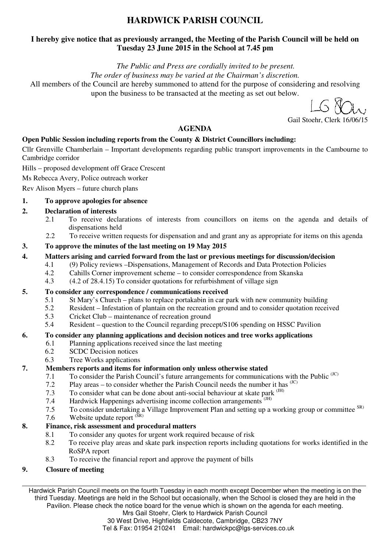# **HARDWICK PARISH COUNCIL**

### **I hereby give notice that as previously arranged, the Meeting of the Parish Council will be held on Tuesday 23 June 2015 in the School at 7.45 pm**

*The Public and Press are cordially invited to be present.* 

*The order of business may be varied at the Chairman's discretion.* 

All members of the Council are hereby summoned to attend for the purpose of considering and resolving upon the business to be transacted at the meeting as set out below.

Gail Stoehr, Clerk 16/06/15

### **AGENDA**

### **Open Public Session including reports from the County & District Councillors including:**

Cllr Grenville Chamberlain – Important developments regarding public transport improvements in the Cambourne to Cambridge corridor

Hills – proposed development off Grace Crescent

Ms Rebecca Avery, Police outreach worker

Rev Alison Myers – future church plans

### **1. To approve apologies for absence**

### **2. Declaration of interests**

- 2.1 To receive declarations of interests from councillors on items on the agenda and details of dispensations held
- 2.2 To receive written requests for dispensation and and grant any as appropriate for items on this agenda

#### **3. To approve the minutes of the last meeting on 19 May 2015**

- **4. Matters arising and carried forward from the last or previous meetings for discussion/decision** 
	- 4.1 (9) Policy reviews –Dispensations, Management of Records and Data Protection Policies
	- 4.2 Cahills Corner improvement scheme to consider correspondence from Skanska
	- 4.3 (4.2 of 28.4.15) To consider quotations for refurbishment of village sign

### **5. To consider any correspondence / communications received**

- 5.1 St Mary's Church plans to replace portakabin in car park with new community building
- 5.2 Resident Infestation of plantain on the recreation ground and to consider quotation received
- 5.3 Cricket Club maintenance of recreation ground
- 5.4 Resident question to the Council regarding precept/S106 spending on HSSC Pavilion

### **6. To consider any planning applications and decision notices and tree works applications**

- 6.1 Planning applications received since the last meeting
- 6.2 SCDC Decision notices
- 6.3 Tree Works applications

### **7. Members reports and items for information only unless otherwise stated**

- 7.1 To consider the Parish Council's future arrangements for communications with the Public <sup>(JC)</sup>
- 7.2 Play areas to consider whether the Parish Council needs the number it has  $\binom{JC}{}$
- 7.3 To consider what can be done about anti-social behaviour at skate park  $\rm^{(JH)}$
- 7.4 Hardwick Happenings advertising income collection arrangements <sup>(JH)</sup>
- 7.5 To consider undertaking a Village Improvement Plan and setting up a working group or committee SR)
- 7.6 Website update report  $(S<sub>R</sub>)$

### **8. Finance, risk assessment and procedural matters**

- 8.1 To consider any quotes for urgent work required because of risk
- 8.2 To receive play areas and skate park inspection reports including quotations for works identified in the RoSPA report
- 8.3 To receive the financial report and approve the payment of bills

### **9. Closure of meeting**

Hardwick Parish Council meets on the fourth Tuesday in each month except December when the meeting is on the third Tuesday. Meetings are held in the School but occasionally, when the School is closed they are held in the Pavilion. Please check the notice board for the venue which is shown on the agenda for each meeting.

> Mrs Gail Stoehr, Clerk to Hardwick Parish Council 30 West Drive, Highfields Caldecote, Cambridge, CB23 7NY

Tel & Fax: 01954 210241 Email: hardwickpc@lgs-services.co.uk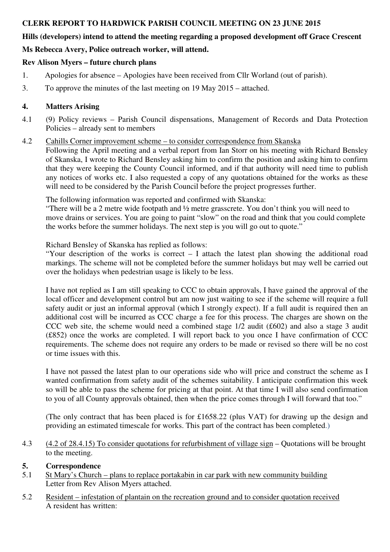### **CLERK REPORT TO HARDWICK PARISH COUNCIL MEETING ON 23 JUNE 2015**

### **Hills (developers) intend to attend the meeting regarding a proposed development off Grace Crescent**

## **Ms Rebecca Avery, Police outreach worker, will attend.**

### **Rev Alison Myers – future church plans**

- 1. Apologies for absence Apologies have been received from Cllr Worland (out of parish).
- 3. To approve the minutes of the last meeting on 19 May 2015 attached.

### **4. Matters Arising**

4.1 (9) Policy reviews – Parish Council dispensations, Management of Records and Data Protection Policies – already sent to members

### 4.2 Cahills Corner improvement scheme – to consider correspondence from Skanska

Following the April meeting and a verbal report from Ian Storr on his meeting with Richard Bensley of Skanska, I wrote to Richard Bensley asking him to confirm the position and asking him to confirm that they were keeping the County Council informed, and if that authority will need time to publish any notices of works etc. I also requested a copy of any quotations obtained for the works as these will need to be considered by the Parish Council before the project progresses further.

The following information was reported and confirmed with Skanska:

"There will be a 2 metre wide footpath and ½ metre grasscrete. You don't think you will need to move drains or services. You are going to paint "slow" on the road and think that you could complete the works before the summer holidays. The next step is you will go out to quote."

Richard Bensley of Skanska has replied as follows:

"Your description of the works is correct – I attach the latest plan showing the additional road markings. The scheme will not be completed before the summer holidays but may well be carried out over the holidays when pedestrian usage is likely to be less.

I have not replied as I am still speaking to CCC to obtain approvals, I have gained the approval of the local officer and development control but am now just waiting to see if the scheme will require a full safety audit or just an informal approval (which I strongly expect). If a full audit is required then an additional cost will be incurred as CCC charge a fee for this process. The charges are shown on the CCC web site, the scheme would need a combined stage 1/2 audit (£602) and also a stage 3 audit (£852) once the works are completed. I will report back to you once I have confirmation of CCC requirements. The scheme does not require any orders to be made or revised so there will be no cost or time issues with this.

I have not passed the latest plan to our operations side who will price and construct the scheme as I wanted confirmation from safety audit of the schemes suitability. I anticipate confirmation this week so will be able to pass the scheme for pricing at that point. At that time I will also send confirmation to you of all County approvals obtained, then when the price comes through I will forward that too."

(The only contract that has been placed is for £1658.22 (plus VAT) for drawing up the design and providing an estimated timescale for works. This part of the contract has been completed.)

4.3 (4.2 of 28.4.15) To consider quotations for refurbishment of village sign – Quotations will be brought to the meeting.

### **5. Correspondence**

- 5.1 St Mary's Church plans to replace portakabin in car park with new community building Letter from Rev Alison Myers attached.
- 5.2 Resident infestation of plantain on the recreation ground and to consider quotation received A resident has written: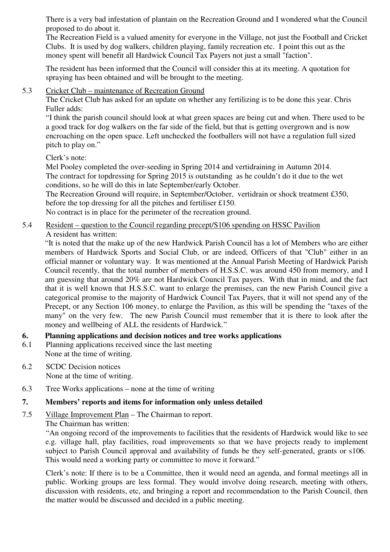There is a very bad infestation of plantain on the Recreation Ground and I wondered what the Council proposed to do about it.

The Recreation Field is a valued amenity for everyone in the Village, not just the Football and Cricket Clubs. It is used by dog walkers, children playing, family recreation etc. I point this out as the money spent will benefit all Hardwick Council Tax Payers not just a small "faction".

The resident has been informed that the Council will consider this at its meeting. A quotation for spraying has been obtained and will be brought to the meeting.

#### 5.3 Cricket Club – maintenance of Recreation Ground

The Cricket Club has asked for an update on whether any fertilizing is to be done this year. Chris Fuller adds:

"I think the parish council should look at what green spaces are being cut and when. There used to be a good track for dog walkers on the far side of the field, but that is getting overgrown and is now encroaching on the open space. Left unchecked the footballers will not have a regulation full sized pitch to play on."

Clerk's note:

Mel Pooley completed the over-seeding in Spring 2014 and vertidraining in Autumn 2014. The contract for topdressing for Spring 2015 is outstanding as he couldn't do it due to the wet conditions, so he will do this in late September/early October.

The Recreation Ground will require, in September/October, vertidrain or shock treatment £350, before the top dressing for all the pitches and fertiliser £150.

No contract is in place for the perimeter of the recreation ground.

### 5.4 Resident – question to the Council regarding precept/S106 spending on HSSC Pavilion A resident has written:

"It is noted that the make up of the new Hardwick Parish Council has a lot of Members who are either members of Hardwick Sports and Social Club, or are indeed, Officers of that "Club" either in an official manner or voluntary way. It was mentioned at the Annual Parish Meeting of Hardwick Parish Council recently, that the total number of members of H.S.S.C. was around 450 from memory, and I am guessing that around 20% are not Hardwick Council Tax payers. With that in mind, and the fact that it is well known that H.S.S.C. want to enlarge the premises, can the new Parish Council give a categorical promise to the majority of Hardwick Council Tax Payers, that it will not spend any of the Precept, or any Section 106 money, to enlarge the Pavilion, as this will be spending the "taxes of the many" on the very few. The new Parish Council must remember that it is there to look after the money and wellbeing of ALL the residents of Hardwick."

### **6. Planning applications and decision notices and tree works applications**

6.1 Planning applications received since the last meeting None at the time of writing.

#### 6.2 SCDC Decision notices None at the time of writing.

6.3 Tree Works applications – none at the time of writing

### **7. Members' reports and items for information only unless detailed**

7.5 Village Improvement Plan – The Chairman to report.

### The Chairman has written:

 "An ongoing record of the improvements to facilities that the residents of Hardwick would like to see e.g. village hall, play facilities, road improvements so that we have projects ready to implement subject to Parish Council approval and availability of funds be they self-generated, grants or s106. This would need a working party or committee to move it forward."

 Clerk's note: If there is to be a Committee, then it would need an agenda, and formal meetings all in public. Working groups are less formal. They would involve doing research, meeting with others, discussion with residents, etc, and bringing a report and recommendation to the Parish Council, then the matter would be discussed and decided in a public meeting.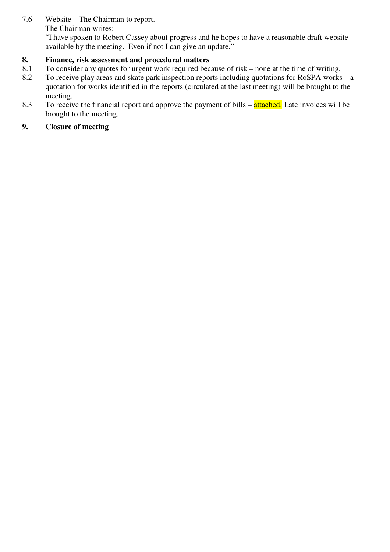7.6 Website – The Chairman to report. The Chairman writes:

> "I have spoken to Robert Cassey about progress and he hopes to have a reasonable draft website available by the meeting. Even if not I can give an update."

# **8. Finance, risk assessment and procedural matters**

- 8.1 To consider any quotes for urgent work required because of risk none at the time of writing.
- 8.2 To receive play areas and skate park inspection reports including quotations for RoSPA works a quotation for works identified in the reports (circulated at the last meeting) will be brought to the meeting.
- 8.3 To receive the financial report and approve the payment of bills attached. Late invoices will be brought to the meeting.

# **9. Closure of meeting**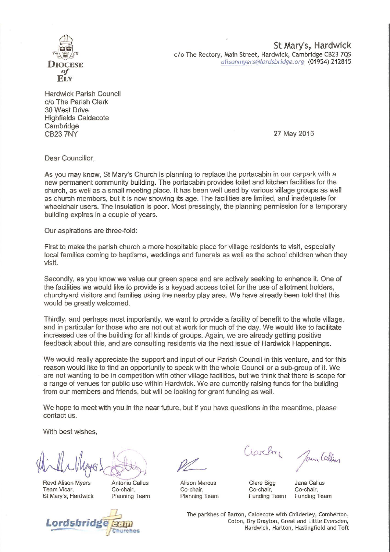

St Mary's, Hardwick c/o The Rectory, Main Street, Hardwick, Cambridge CB23 7QS alisonmyers@lordsbridge.org (01954) 212815

**Hardwick Parish Council** c/o The Parish Clerk 30 West Drive **Highfields Caldecote** Cambridge **CB23 7NY** 

27 May 2015

Dear Councillor.

As you may know, St Mary's Church is planning to replace the portacabin in our carpark with a new permanent community building. The portacabin provides toilet and kitchen facilities for the church, as well as a small meeting place. It has been well used by various village groups as well as church members, but it is now showing its age. The facilities are limited, and inadequate for wheelchair users. The insulation is poor. Most pressingly, the planning permission for a temporary building expires in a couple of years.

Our aspirations are three-fold:

First to make the parish church a more hospitable place for village residents to visit, especially local families coming to baptisms, weddings and funerals as well as the school children when they visit.

Secondly, as you know we value our green space and are actively seeking to enhance it. One of the facilities we would like to provide is a keypad access toilet for the use of allotment holders. churchyard visitors and families using the nearby play area. We have already been told that this would be greatly welcomed.

Thirdly, and perhaps most importantly, we want to provide a facility of benefit to the whole village, and in particular for those who are not out at work for much of the day. We would like to facilitate increased use of the building for all kinds of groups. Again, we are already getting positive feedback about this, and are consulting residents via the next issue of Hardwick Happenings.

We would really appreciate the support and input of our Parish Council in this venture, and for this reason would like to find an opportunity to speak with the whole Council or a sub-group of it. We are not wanting to be in competition with other village facilities, but we think that there is scope for a range of venues for public use within Hardwick. We are currently raising funds for the building from our members and friends, but will be looking for grant funding as well.

We hope to meet with you in the near future, but if you have questions in the meantime, please contact us.

With best wishes.

**Revd Alison Myers** Team Vicar, St Mary's, Hardwick

Antonio Callus Co-chair. **Planning Team** 



**Alison Marcus** Co-chair. **Planning Team** 

iarby

Jana Callin

Clare Bigg Co-chair. **Funding Team** 

Jana Callus Co-chair. **Funding Team** 

The parishes of Barton, Caldecote with Childerley, Comberton, Coton, Dry Drayton, Great and Little Eversden, Hardwick, Harlton, Haslingfield and Toft